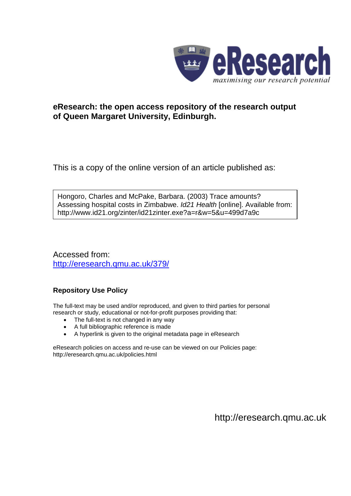

## **eResearch: the open access repository of the research output of Queen Margaret University, Edinburgh.**

This is a copy of the online version of an article published as:

Hongoro, Charles and McPake, Barbara. (2003) Trace amounts? Assessing hospital costs in Zimbabwe. *Id21 Health* [online]. Available from: http://www.id21.org/zinter/id21zinter.exe?a=r&w=5&u=499d7a9c

Accessed from: <http://eresearch.qmu.ac.uk/379/>

## **Repository Use Policy**

The full-text may be used and/or reproduced, and given to third parties for personal research or study, educational or not-for-profit purposes providing that:

- The full-text is not changed in any way
- A full bibliographic reference is made
- A hyperlink is given to the original metadata page in eResearch

eResearch policies on access and re-use can be viewed on our Policies page: <http://eresearch.qmu.ac.uk/policies.html>

[http://eresearch.qmu.ac.uk](http://eresearch.qmu.ac.uk/)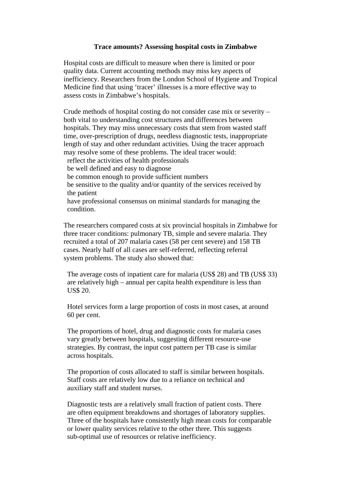## **Trace amounts? Assessing hospital costs in Zimbabwe**

 Hospital costs are difficult to measure when there is limited or poor quality data. Current accounting methods may miss key aspects of inefficiency. Researchers from the London School of Hygiene and Tropical Medicine find that using 'tracer' illnesses is a more effective way to assess costs in Zimbabwe's hospitals.

 Crude methods of hospital costing do not consider case mix or severity – both vital to understanding cost structures and differences between hospitals. They may miss unnecessary costs that stem from wasted staff time, over-prescription of drugs, needless diagnostic tests, inappropriate length of stay and other redundant activities. Using the tracer approach may resolve some of these problems. The ideal tracer would: reflect the activities of health professionals be well defined and easy to diagnose be common enough to provide sufficient numbers be sensitive to the quality and/or quantity of the services received by the patient have professional consensus on minimal standards for managing the condition.

 The researchers compared costs at six provincial hospitals in Zimbabwe for three tracer conditions: pulmonary TB, simple and severe malaria. They recruited a total of 207 malaria cases (58 per cent severe) and 158 TB cases. Nearly half of all cases are self-referred, reflecting referral system problems. The study also showed that:

 The average costs of inpatient care for malaria (US\$ 28) and TB (US\$ 33) are relatively high – annual per capita health expenditure is less than US\$ 20.

 Hotel services form a large proportion of costs in most cases, at around 60 per cent.

 The proportions of hotel, drug and diagnostic costs for malaria cases vary greatly between hospitals, suggesting different resource-use strategies. By contrast, the input cost pattern per TB case is similar across hospitals.

 The proportion of costs allocated to staff is similar between hospitals. Staff costs are relatively low due to a reliance on technical and auxiliary staff and student nurses.

 Diagnostic tests are a relatively small fraction of patient costs. There are often equipment breakdowns and shortages of laboratory supplies. Three of the hospitals have consistently high mean costs for comparable or lower quality services relative to the other three. This suggests sub-optimal use of resources or relative inefficiency.